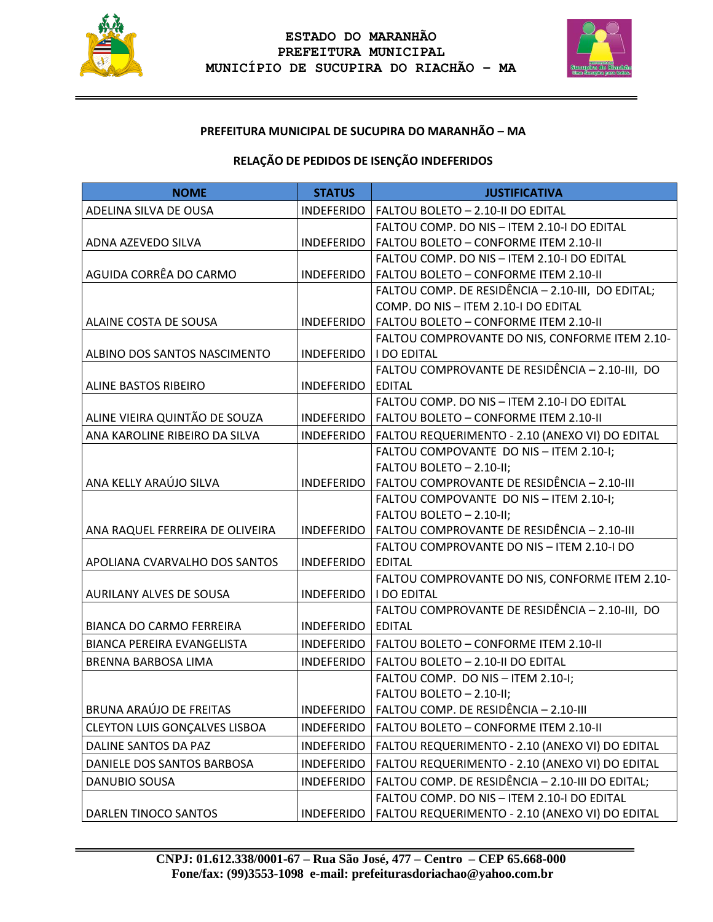



# **PREFEITURA MUNICIPAL DE SUCUPIRA DO MARANHÃO – MA**

# **RELAÇÃO DE PEDIDOS DE ISENÇÃO INDEFERIDOS**

| <b>NOME</b>                          | <b>STATUS</b>            | <b>JUSTIFICATIVA</b>                                                                 |
|--------------------------------------|--------------------------|--------------------------------------------------------------------------------------|
| ADELINA SILVA DE OUSA                | INDEFERIDO               | FALTOU BOLETO - 2.10-II DO EDITAL                                                    |
|                                      |                          | FALTOU COMP. DO NIS - ITEM 2.10-I DO EDITAL                                          |
| ADNA AZEVEDO SILVA                   | INDEFERIDO               | FALTOU BOLETO - CONFORME ITEM 2.10-II                                                |
|                                      |                          | FALTOU COMP. DO NIS - ITEM 2.10-I DO EDITAL                                          |
| AGUIDA CORRÊA DO CARMO               |                          | INDEFERIDO   FALTOU BOLETO - CONFORME ITEM 2.10-II                                   |
|                                      |                          | FALTOU COMP. DE RESIDÊNCIA - 2.10-III, DO EDITAL;                                    |
|                                      |                          | COMP. DO NIS - ITEM 2.10-I DO EDITAL                                                 |
| ALAINE COSTA DE SOUSA                | INDEFERIDO               | FALTOU BOLETO - CONFORME ITEM 2.10-II                                                |
|                                      |                          | FALTOU COMPROVANTE DO NIS, CONFORME ITEM 2.10-                                       |
| ALBINO DOS SANTOS NASCIMENTO         | INDEFERIDO   I DO EDITAL |                                                                                      |
|                                      |                          | FALTOU COMPROVANTE DE RESIDÊNCIA - 2.10-III, DO                                      |
| ALINE BASTOS RIBEIRO                 | INDEFERIDO               | <b>EDITAL</b>                                                                        |
|                                      |                          | FALTOU COMP. DO NIS - ITEM 2.10-I DO EDITAL                                          |
| ALINE VIEIRA QUINTÃO DE SOUZA        |                          | INDEFERIDO   FALTOU BOLETO - CONFORME ITEM 2.10-II                                   |
| ANA KAROLINE RIBEIRO DA SILVA        | INDEFERIDO               | FALTOU REQUERIMENTO - 2.10 (ANEXO VI) DO EDITAL                                      |
|                                      |                          | FALTOU COMPOVANTE DO NIS - ITEM 2.10-I;                                              |
|                                      |                          | FALTOU BOLETO - 2.10-II;                                                             |
| ANA KELLY ARAÚJO SILVA               |                          | INDEFERIDO   FALTOU COMPROVANTE DE RESIDÊNCIA - 2.10-III                             |
|                                      |                          | FALTOU COMPOVANTE DO NIS - ITEM 2.10-I;                                              |
|                                      |                          | FALTOU BOLETO - 2.10-II;<br>INDEFERIDO   FALTOU COMPROVANTE DE RESIDÊNCIA - 2.10-III |
| ANA RAQUEL FERREIRA DE OLIVEIRA      |                          | FALTOU COMPROVANTE DO NIS - ITEM 2.10-I DO                                           |
| APOLIANA CVARVALHO DOS SANTOS        | INDEFERIDO               | <b>EDITAL</b>                                                                        |
|                                      |                          | FALTOU COMPROVANTE DO NIS, CONFORME ITEM 2.10-                                       |
| AURILANY ALVES DE SOUSA              | INDEFERIDO   I DO EDITAL |                                                                                      |
|                                      |                          | FALTOU COMPROVANTE DE RESIDÊNCIA - 2.10-III, DO                                      |
| <b>BIANCA DO CARMO FERREIRA</b>      | INDEFERIDO EDITAL        |                                                                                      |
| BIANCA PEREIRA EVANGELISTA           | INDEFERIDO               | FALTOU BOLETO - CONFORME ITEM 2.10-II                                                |
| BRENNA BARBOSA LIMA                  | <b>INDEFERIDO</b>        | FALTOU BOLETO - 2.10-II DO EDITAL                                                    |
|                                      |                          | FALTOU COMP. DO NIS - ITEM 2.10-I;                                                   |
|                                      |                          | FALTOU BOLETO - 2.10-II;                                                             |
| <b>BRUNA ARAÚJO DE FREITAS</b>       | <b>INDEFERIDO</b>        | FALTOU COMP. DE RESIDÊNCIA - 2.10-III                                                |
| <b>CLEYTON LUIS GONÇALVES LISBOA</b> | <b>INDEFERIDO</b>        | FALTOU BOLETO - CONFORME ITEM 2.10-II                                                |
| DALINE SANTOS DA PAZ                 | <b>INDEFERIDO</b>        | FALTOU REQUERIMENTO - 2.10 (ANEXO VI) DO EDITAL                                      |
| DANIELE DOS SANTOS BARBOSA           | <b>INDEFERIDO</b>        | FALTOU REQUERIMENTO - 2.10 (ANEXO VI) DO EDITAL                                      |
| <b>DANUBIO SOUSA</b>                 | <b>INDEFERIDO</b>        | FALTOU COMP. DE RESIDÊNCIA - 2.10-III DO EDITAL;                                     |
|                                      |                          | FALTOU COMP. DO NIS - ITEM 2.10-I DO EDITAL                                          |
| DARLEN TINOCO SANTOS                 | <b>INDEFERIDO</b>        | FALTOU REQUERIMENTO - 2.10 (ANEXO VI) DO EDITAL                                      |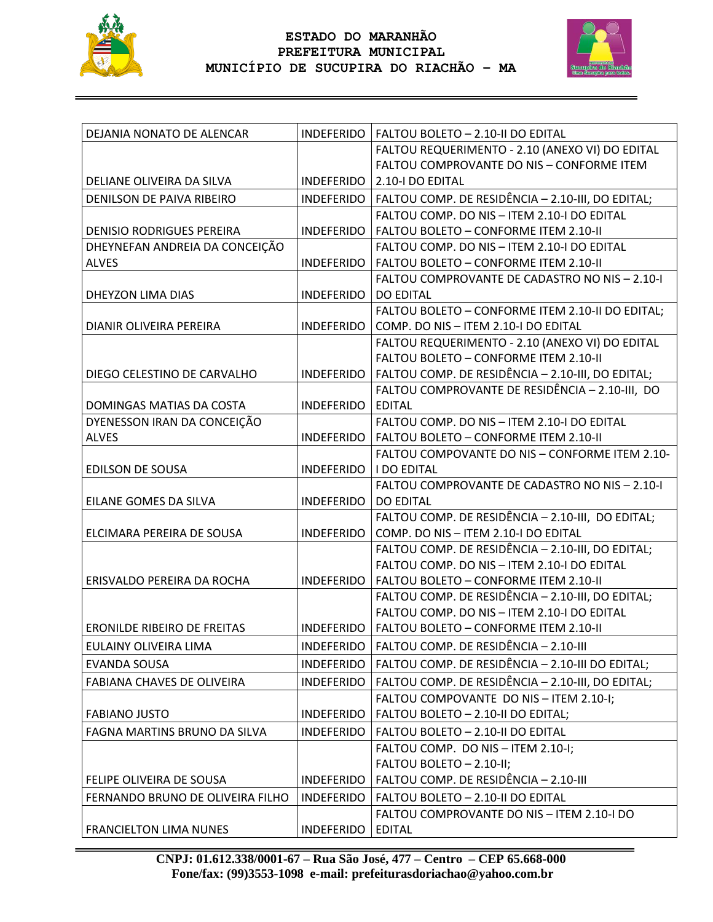



| DEJANIA NONATO DE ALENCAR          |                   | INDEFERIDO   FALTOU BOLETO - 2.10-II DO EDITAL     |
|------------------------------------|-------------------|----------------------------------------------------|
|                                    |                   | FALTOU REQUERIMENTO - 2.10 (ANEXO VI) DO EDITAL    |
|                                    |                   | FALTOU COMPROVANTE DO NIS - CONFORME ITEM          |
| DELIANE OLIVEIRA DA SILVA          | <b>INDEFERIDO</b> | 2.10-I DO EDITAL                                   |
| DENILSON DE PAIVA RIBEIRO          | <b>INDEFERIDO</b> | FALTOU COMP. DE RESIDÊNCIA - 2.10-III, DO EDITAL;  |
|                                    |                   | FALTOU COMP. DO NIS - ITEM 2.10-I DO EDITAL        |
| <b>DENISIO RODRIGUES PEREIRA</b>   | <b>INDEFERIDO</b> | FALTOU BOLETO - CONFORME ITEM 2.10-II              |
| DHEYNEFAN ANDREIA DA CONCEIÇÃO     |                   | FALTOU COMP. DO NIS - ITEM 2.10-I DO EDITAL        |
| <b>ALVES</b>                       | <b>INDEFERIDO</b> | FALTOU BOLETO - CONFORME ITEM 2.10-II              |
|                                    |                   | FALTOU COMPROVANTE DE CADASTRO NO NIS - 2.10-I     |
| DHEYZON LIMA DIAS                  | <b>INDEFERIDO</b> | <b>DO EDITAL</b>                                   |
|                                    |                   | FALTOU BOLETO - CONFORME ITEM 2.10-II DO EDITAL;   |
| DIANIR OLIVEIRA PEREIRA            | <b>INDEFERIDO</b> | COMP. DO NIS - ITEM 2.10-I DO EDITAL               |
|                                    |                   | FALTOU REQUERIMENTO - 2.10 (ANEXO VI) DO EDITAL    |
|                                    |                   | FALTOU BOLETO - CONFORME ITEM 2.10-II              |
| DIEGO CELESTINO DE CARVALHO        | <b>INDEFERIDO</b> | FALTOU COMP. DE RESIDÊNCIA - 2.10-III, DO EDITAL;  |
|                                    |                   | FALTOU COMPROVANTE DE RESIDÊNCIA - 2.10-III, DO    |
| DOMINGAS MATIAS DA COSTA           | <b>INDEFERIDO</b> | <b>EDITAL</b>                                      |
| DYENESSON IRAN DA CONCEIÇÃO        |                   | FALTOU COMP. DO NIS - ITEM 2.10-I DO EDITAL        |
| <b>ALVES</b>                       |                   | INDEFERIDO   FALTOU BOLETO - CONFORME ITEM 2.10-II |
|                                    |                   | FALTOU COMPOVANTE DO NIS - CONFORME ITEM 2.10-     |
| <b>EDILSON DE SOUSA</b>            | <b>INDEFERIDO</b> | I DO EDITAL                                        |
|                                    |                   | FALTOU COMPROVANTE DE CADASTRO NO NIS - 2.10-I     |
| EILANE GOMES DA SILVA              | <b>INDEFERIDO</b> | <b>DO EDITAL</b>                                   |
|                                    |                   | FALTOU COMP. DE RESIDÊNCIA - 2.10-III, DO EDITAL;  |
| ELCIMARA PEREIRA DE SOUSA          | <b>INDEFERIDO</b> | COMP. DO NIS - ITEM 2.10-I DO EDITAL               |
|                                    |                   | FALTOU COMP. DE RESIDÊNCIA - 2.10-III, DO EDITAL;  |
|                                    |                   | FALTOU COMP. DO NIS - ITEM 2.10-I DO EDITAL        |
| ERISVALDO PEREIRA DA ROCHA         | <b>INDEFERIDO</b> | FALTOU BOLETO - CONFORME ITEM 2.10-II              |
|                                    |                   | FALTOU COMP. DE RESIDÊNCIA - 2.10-III, DO EDITAL;  |
|                                    |                   | FALTOU COMP. DO NIS - ITEM 2.10-I DO EDITAL        |
| <b>ERONILDE RIBEIRO DE FREITAS</b> | <b>INDEFERIDO</b> | FALTOU BOLETO - CONFORME ITEM 2.10-II              |
| EULAINY OLIVEIRA LIMA              | INDEFERIDO        | FALTOU COMP. DE RESIDÊNCIA - 2.10-III              |
| <b>EVANDA SOUSA</b>                | <b>INDEFERIDO</b> | FALTOU COMP. DE RESIDÊNCIA - 2.10-III DO EDITAL;   |
| <b>FABIANA CHAVES DE OLIVEIRA</b>  | <b>INDEFERIDO</b> | FALTOU COMP. DE RESIDÊNCIA - 2.10-III, DO EDITAL;  |
|                                    |                   | FALTOU COMPOVANTE DO NIS - ITEM 2.10-I;            |
| <b>FABIANO JUSTO</b>               | <b>INDEFERIDO</b> | FALTOU BOLETO - 2.10-II DO EDITAL;                 |
| FAGNA MARTINS BRUNO DA SILVA       | <b>INDEFERIDO</b> | FALTOU BOLETO - 2.10-II DO EDITAL                  |
|                                    |                   | FALTOU COMP. DO NIS - ITEM 2.10-I;                 |
|                                    |                   | FALTOU BOLETO - 2.10-II;                           |
| FELIPE OLIVEIRA DE SOUSA           | <b>INDEFERIDO</b> | FALTOU COMP. DE RESIDÊNCIA - 2.10-III              |
| FERNANDO BRUNO DE OLIVEIRA FILHO   | <b>INDEFERIDO</b> | FALTOU BOLETO - 2.10-II DO EDITAL                  |
|                                    |                   | FALTOU COMPROVANTE DO NIS - ITEM 2.10-I DO         |
| <b>FRANCIELTON LIMA NUNES</b>      | <b>INDEFERIDO</b> | <b>EDITAL</b>                                      |
|                                    |                   |                                                    |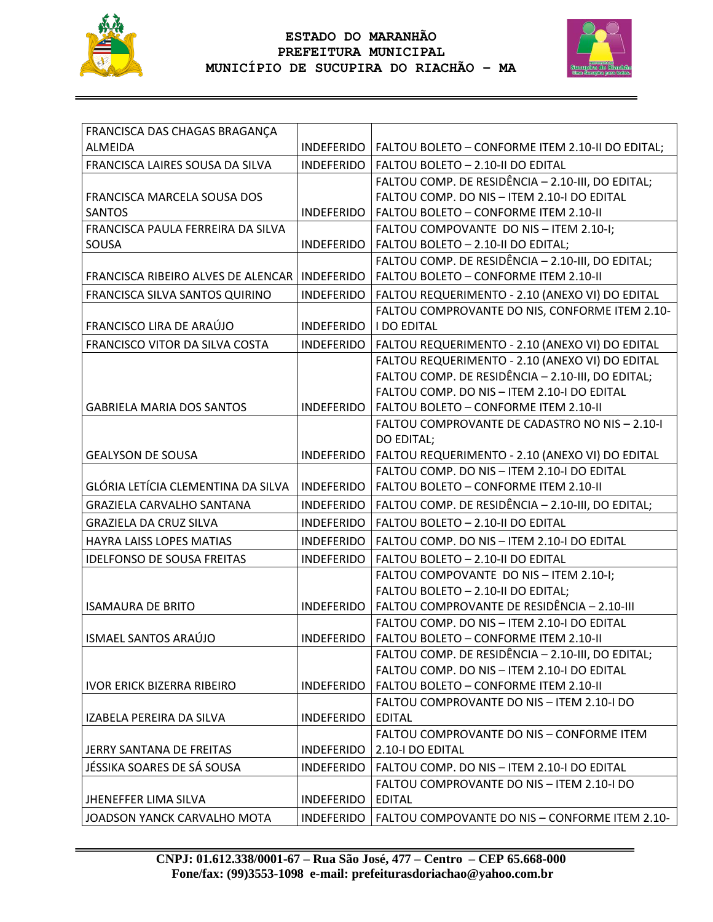



| FRANCISCA DAS CHAGAS BRAGANÇA             |                   |                                                               |
|-------------------------------------------|-------------------|---------------------------------------------------------------|
| <b>ALMEIDA</b>                            | INDEFERIDO        | FALTOU BOLETO - CONFORME ITEM 2.10-II DO EDITAL;              |
| FRANCISCA LAIRES SOUSA DA SILVA           | <b>INDEFERIDO</b> | FALTOU BOLETO - 2.10-II DO EDITAL                             |
|                                           |                   | FALTOU COMP. DE RESIDÊNCIA - 2.10-III, DO EDITAL;             |
| FRANCISCA MARCELA SOUSA DOS               |                   | FALTOU COMP, DO NIS - ITEM 2.10-I DO EDITAL                   |
| <b>SANTOS</b>                             | <b>INDEFERIDO</b> | FALTOU BOLETO - CONFORME ITEM 2.10-II                         |
| FRANCISCA PAULA FERREIRA DA SILVA         |                   | FALTOU COMPOVANTE DO NIS - ITEM 2.10-I;                       |
| SOUSA                                     | <b>INDEFERIDO</b> | FALTOU BOLETO - 2.10-II DO EDITAL;                            |
|                                           |                   | FALTOU COMP. DE RESIDÊNCIA - 2.10-III, DO EDITAL;             |
| <b>FRANCISCA RIBEIRO ALVES DE ALENCAR</b> | <b>INDEFERIDO</b> | FALTOU BOLETO - CONFORME ITEM 2.10-II                         |
| FRANCISCA SILVA SANTOS QUIRINO            | <b>INDEFERIDO</b> | FALTOU REQUERIMENTO - 2.10 (ANEXO VI) DO EDITAL               |
|                                           |                   | FALTOU COMPROVANTE DO NIS, CONFORME ITEM 2.10-                |
| FRANCISCO LIRA DE ARAÚJO                  | <b>INDEFERIDO</b> | <b>I DO EDITAL</b>                                            |
| FRANCISCO VITOR DA SILVA COSTA            | <b>INDEFERIDO</b> | FALTOU REQUERIMENTO - 2.10 (ANEXO VI) DO EDITAL               |
|                                           |                   | FALTOU REQUERIMENTO - 2.10 (ANEXO VI) DO EDITAL               |
|                                           |                   | FALTOU COMP. DE RESIDÊNCIA - 2.10-III, DO EDITAL;             |
|                                           |                   | FALTOU COMP. DO NIS - ITEM 2.10-I DO EDITAL                   |
| <b>GABRIELA MARIA DOS SANTOS</b>          | <b>INDEFERIDO</b> | FALTOU BOLETO - CONFORME ITEM 2.10-II                         |
|                                           |                   | FALTOU COMPROVANTE DE CADASTRO NO NIS - 2.10-I                |
|                                           |                   | DO EDITAL;                                                    |
| <b>GEALYSON DE SOUSA</b>                  | <b>INDEFERIDO</b> | FALTOU REQUERIMENTO - 2.10 (ANEXO VI) DO EDITAL               |
|                                           |                   | FALTOU COMP. DO NIS - ITEM 2.10-I DO EDITAL                   |
| GLÓRIA LETÍCIA CLEMENTINA DA SILVA        | <b>INDEFERIDO</b> | FALTOU BOLETO - CONFORME ITEM 2.10-II                         |
| <b>GRAZIELA CARVALHO SANTANA</b>          | <b>INDEFERIDO</b> | FALTOU COMP. DE RESIDÊNCIA - 2.10-III, DO EDITAL;             |
| <b>GRAZIELA DA CRUZ SILVA</b>             | <b>INDEFERIDO</b> | FALTOU BOLETO - 2.10-II DO EDITAL                             |
| HAYRA LAISS LOPES MATIAS                  | <b>INDEFERIDO</b> | FALTOU COMP. DO NIS - ITEM 2.10-I DO EDITAL                   |
| <b>IDELFONSO DE SOUSA FREITAS</b>         | <b>INDEFERIDO</b> | FALTOU BOLETO - 2.10-II DO EDITAL                             |
|                                           |                   | FALTOU COMPOVANTE DO NIS - ITEM 2.10-I;                       |
|                                           |                   | FALTOU BOLETO - 2.10-II DO EDITAL;                            |
| <b>ISAMAURA DE BRITO</b>                  | <b>INDEFERIDO</b> | FALTOU COMPROVANTE DE RESIDÊNCIA - 2.10-III                   |
|                                           |                   | FALTOU COMP. DO NIS - ITEM 2.10-I DO EDITAL                   |
| ISMAEL SANTOS ARAÚJO                      | <b>INDEFERIDO</b> | FALTOU BOLETO - CONFORME ITEM 2.10-II                         |
|                                           |                   | FALTOU COMP. DE RESIDÊNCIA - 2.10-III, DO EDITAL;             |
|                                           |                   | FALTOU COMP. DO NIS - ITEM 2.10-I DO EDITAL                   |
| IVOR ERICK BIZERRA RIBEIRO                | <b>INDEFERIDO</b> | FALTOU BOLETO - CONFORME ITEM 2.10-II                         |
|                                           |                   | FALTOU COMPROVANTE DO NIS - ITEM 2.10-I DO                    |
| IZABELA PEREIRA DA SILVA                  | <b>INDEFERIDO</b> | <b>EDITAL</b>                                                 |
| JERRY SANTANA DE FREITAS                  | <b>INDEFERIDO</b> | FALTOU COMPROVANTE DO NIS - CONFORME ITEM<br>2.10-I DO EDITAL |
|                                           |                   |                                                               |
| JÉSSIKA SOARES DE SÁ SOUSA                | <b>INDEFERIDO</b> | FALTOU COMP. DO NIS - ITEM 2.10-I DO EDITAL                   |
| <b>JHENEFFER LIMA SILVA</b>               | <b>INDEFERIDO</b> | FALTOU COMPROVANTE DO NIS - ITEM 2.10-I DO<br><b>EDITAL</b>   |
|                                           |                   |                                                               |
| JOADSON YANCK CARVALHO MOTA               | <b>INDEFERIDO</b> | FALTOU COMPOVANTE DO NIS - CONFORME ITEM 2.10-                |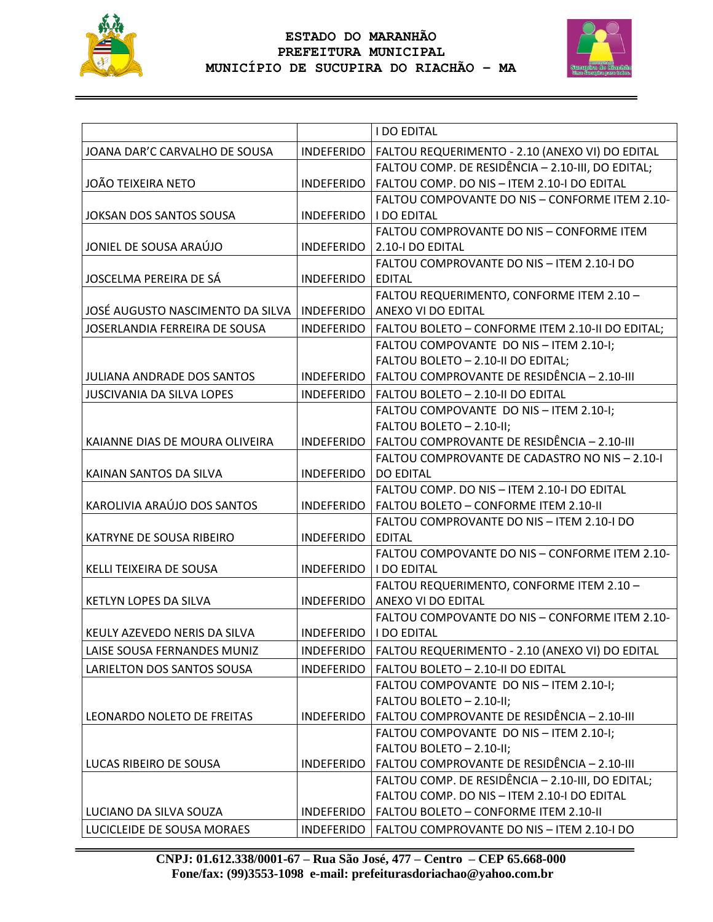



|                                   |                   | <b>I DO EDITAL</b>                                |
|-----------------------------------|-------------------|---------------------------------------------------|
| JOANA DAR'C CARVALHO DE SOUSA     | INDEFERIDO        | FALTOU REQUERIMENTO - 2.10 (ANEXO VI) DO EDITAL   |
|                                   |                   | FALTOU COMP. DE RESIDÊNCIA - 2.10-III, DO EDITAL; |
| <b>JOÃO TEIXEIRA NETO</b>         | <b>INDEFERIDO</b> | FALTOU COMP. DO NIS - ITEM 2.10-I DO EDITAL       |
|                                   |                   | FALTOU COMPOVANTE DO NIS - CONFORME ITEM 2.10-    |
| <b>JOKSAN DOS SANTOS SOUSA</b>    | INDEFERIDO        | <b>I DO EDITAL</b>                                |
|                                   |                   | FALTOU COMPROVANTE DO NIS - CONFORME ITEM         |
| JONIEL DE SOUSA ARAÚJO            | <b>INDEFERIDO</b> | 2.10-I DO EDITAL                                  |
|                                   |                   | FALTOU COMPROVANTE DO NIS - ITEM 2.10-I DO        |
| JOSCELMA PEREIRA DE SÁ            | <b>INDEFERIDO</b> | <b>EDITAL</b>                                     |
|                                   |                   | FALTOU REQUERIMENTO, CONFORME ITEM 2.10 -         |
| JOSÉ AUGUSTO NASCIMENTO DA SILVA  | INDEFERIDO        | ANEXO VI DO EDITAL                                |
| JOSERLANDIA FERREIRA DE SOUSA     | INDEFERIDO        | FALTOU BOLETO - CONFORME ITEM 2.10-II DO EDITAL;  |
|                                   |                   | FALTOU COMPOVANTE DO NIS - ITEM 2.10-I;           |
|                                   |                   | FALTOU BOLETO - 2.10-II DO EDITAL;                |
| <b>JULIANA ANDRADE DOS SANTOS</b> | INDEFERIDO        | FALTOU COMPROVANTE DE RESIDÊNCIA - 2.10-III       |
| <b>JUSCIVANIA DA SILVA LOPES</b>  | INDEFERIDO        | FALTOU BOLETO - 2.10-II DO EDITAL                 |
|                                   |                   | FALTOU COMPOVANTE DO NIS - ITEM 2.10-I;           |
|                                   |                   | FALTOU BOLETO - 2.10-II;                          |
| KAIANNE DIAS DE MOURA OLIVEIRA    | <b>INDEFERIDO</b> | FALTOU COMPROVANTE DE RESIDÊNCIA - 2.10-III       |
|                                   |                   | FALTOU COMPROVANTE DE CADASTRO NO NIS - 2.10-I    |
| KAINAN SANTOS DA SILVA            | <b>INDEFERIDO</b> | <b>DO EDITAL</b>                                  |
|                                   |                   | FALTOU COMP. DO NIS - ITEM 2.10-I DO EDITAL       |
| KAROLIVIA ARAÚJO DOS SANTOS       | INDEFERIDO        | FALTOU BOLETO - CONFORME ITEM 2.10-II             |
|                                   |                   | FALTOU COMPROVANTE DO NIS - ITEM 2.10-I DO        |
| KATRYNE DE SOUSA RIBEIRO          | INDEFERIDO        | <b>EDITAL</b>                                     |
|                                   |                   | FALTOU COMPOVANTE DO NIS - CONFORME ITEM 2.10-    |
| KELLI TEIXEIRA DE SOUSA           | INDEFERIDO        | <b>I DO EDITAL</b>                                |
|                                   |                   | FALTOU REQUERIMENTO, CONFORME ITEM 2.10 -         |
| KETLYN LOPES DA SILVA             | INDEFERIDO        | ANEXO VI DO EDITAL                                |
|                                   |                   | FALTOU COMPOVANTE DO NIS - CONFORME ITEM 2.10-    |
| KEULY AZEVEDO NERIS DA SILVA      | INDEFERIDO        | <b>I DO EDITAL</b>                                |
| LAISE SOUSA FERNANDES MUNIZ       | <b>INDEFERIDO</b> | FALTOU REQUERIMENTO - 2.10 (ANEXO VI) DO EDITAL   |
| LARIELTON DOS SANTOS SOUSA        | <b>INDEFERIDO</b> | FALTOU BOLETO - 2.10-II DO EDITAL                 |
|                                   |                   | FALTOU COMPOVANTE DO NIS - ITEM 2.10-I;           |
|                                   |                   | FALTOU BOLETO - 2.10-II;                          |
| LEONARDO NOLETO DE FREITAS        | <b>INDEFERIDO</b> | FALTOU COMPROVANTE DE RESIDÊNCIA - 2.10-III       |
|                                   |                   | FALTOU COMPOVANTE DO NIS - ITEM 2.10-I;           |
|                                   |                   | FALTOU BOLETO - 2.10-II;                          |
| LUCAS RIBEIRO DE SOUSA            | <b>INDEFERIDO</b> | FALTOU COMPROVANTE DE RESIDÊNCIA - 2.10-III       |
|                                   |                   | FALTOU COMP. DE RESIDÊNCIA - 2.10-III, DO EDITAL; |
|                                   |                   | FALTOU COMP. DO NIS - ITEM 2.10-I DO EDITAL       |
| LUCIANO DA SILVA SOUZA            | <b>INDEFERIDO</b> | FALTOU BOLETO - CONFORME ITEM 2.10-II             |
| LUCICLEIDE DE SOUSA MORAES        | <b>INDEFERIDO</b> | FALTOU COMPROVANTE DO NIS - ITEM 2.10-I DO        |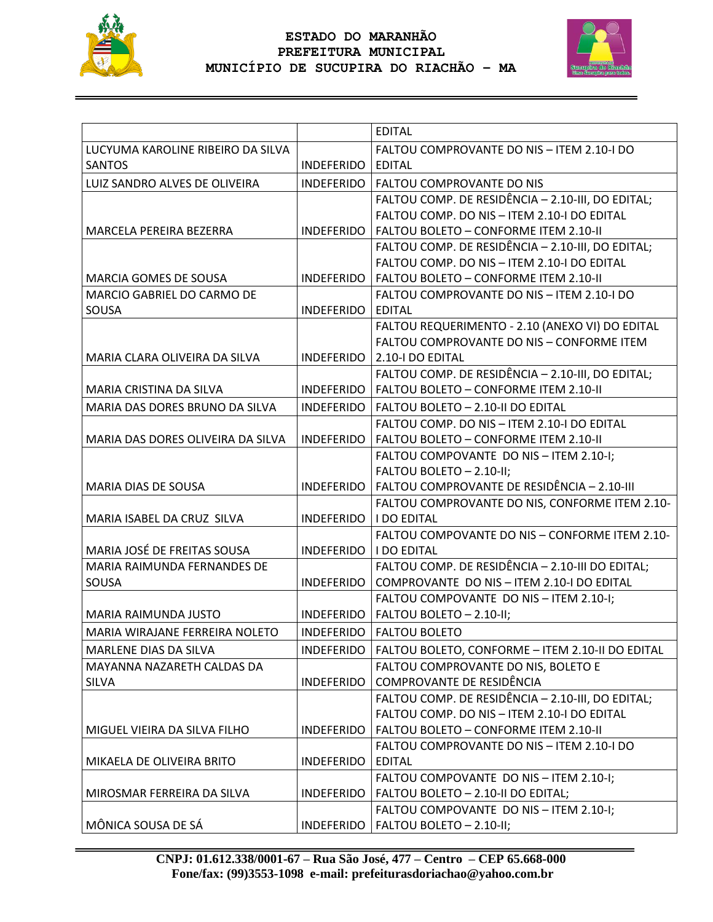



|                                   |                   | <b>EDITAL</b>                                     |
|-----------------------------------|-------------------|---------------------------------------------------|
| LUCYUMA KAROLINE RIBEIRO DA SILVA |                   | FALTOU COMPROVANTE DO NIS - ITEM 2.10-I DO        |
| <b>SANTOS</b>                     | INDEFERIDO        | <b>EDITAL</b>                                     |
| LUIZ SANDRO ALVES DE OLIVEIRA     | INDEFERIDO        | FALTOU COMPROVANTE DO NIS                         |
|                                   |                   | FALTOU COMP. DE RESIDÊNCIA - 2.10-III, DO EDITAL; |
|                                   |                   | FALTOU COMP. DO NIS - ITEM 2.10-I DO EDITAL       |
| MARCELA PEREIRA BEZERRA           | INDEFERIDO        | FALTOU BOLETO - CONFORME ITEM 2.10-II             |
|                                   |                   | FALTOU COMP. DE RESIDÊNCIA - 2.10-III, DO EDITAL; |
|                                   |                   | FALTOU COMP. DO NIS - ITEM 2.10-I DO EDITAL       |
| <b>MARCIA GOMES DE SOUSA</b>      | INDEFERIDO        | FALTOU BOLETO - CONFORME ITEM 2.10-II             |
| MARCIO GABRIEL DO CARMO DE        |                   | FALTOU COMPROVANTE DO NIS - ITEM 2.10-I DO        |
| SOUSA                             | INDEFERIDO        | <b>EDITAL</b>                                     |
|                                   |                   | FALTOU REQUERIMENTO - 2.10 (ANEXO VI) DO EDITAL   |
|                                   |                   | FALTOU COMPROVANTE DO NIS - CONFORME ITEM         |
| MARIA CLARA OLIVEIRA DA SILVA     | INDEFERIDO        | 2.10-I DO EDITAL                                  |
|                                   |                   | FALTOU COMP. DE RESIDÊNCIA - 2.10-III, DO EDITAL; |
| MARIA CRISTINA DA SILVA           | <b>INDEFERIDO</b> | FALTOU BOLETO - CONFORME ITEM 2.10-II             |
| MARIA DAS DORES BRUNO DA SILVA    | <b>INDEFERIDO</b> | FALTOU BOLETO - 2.10-II DO EDITAL                 |
|                                   |                   | FALTOU COMP. DO NIS - ITEM 2.10-I DO EDITAL       |
| MARIA DAS DORES OLIVEIRA DA SILVA | INDEFERIDO        | FALTOU BOLETO - CONFORME ITEM 2.10-II             |
|                                   |                   | FALTOU COMPOVANTE DO NIS - ITEM 2.10-I;           |
|                                   |                   | FALTOU BOLETO - 2.10-II;                          |
| MARIA DIAS DE SOUSA               | INDEFERIDO        | FALTOU COMPROVANTE DE RESIDÊNCIA - 2.10-III       |
|                                   |                   | FALTOU COMPROVANTE DO NIS, CONFORME ITEM 2.10-    |
| MARIA ISABEL DA CRUZ SILVA        | INDEFERIDO        | <b>I DO EDITAL</b>                                |
|                                   |                   | FALTOU COMPOVANTE DO NIS - CONFORME ITEM 2.10-    |
| MARIA JOSÉ DE FREITAS SOUSA       | INDEFERIDO        | <b>I DO EDITAL</b>                                |
| MARIA RAIMUNDA FERNANDES DE       |                   | FALTOU COMP. DE RESIDÊNCIA - 2.10-III DO EDITAL;  |
| SOUSA                             | <b>INDEFERIDO</b> | COMPROVANTE DO NIS - ITEM 2.10-I DO EDITAL        |
|                                   |                   | FALTOU COMPOVANTE DO NIS - ITEM 2.10-I;           |
| <b>MARIA RAIMUNDA JUSTO</b>       | INDEFERIDO        | FALTOU BOLETO - 2.10-II;                          |
| MARIA WIRAJANE FERREIRA NOLETO    | <b>INDEFERIDO</b> | <b>FALTOU BOLETO</b>                              |
| MARLENE DIAS DA SILVA             | INDEFERIDO        | FALTOU BOLETO, CONFORME - ITEM 2.10-II DO EDITAL  |
| MAYANNA NAZARETH CALDAS DA        |                   | FALTOU COMPROVANTE DO NIS, BOLETO E               |
| <b>SILVA</b>                      | <b>INDEFERIDO</b> | COMPROVANTE DE RESIDÊNCIA                         |
|                                   |                   | FALTOU COMP. DE RESIDÊNCIA - 2.10-III, DO EDITAL; |
|                                   |                   | FALTOU COMP. DO NIS - ITEM 2.10-I DO EDITAL       |
| MIGUEL VIEIRA DA SILVA FILHO      | <b>INDEFERIDO</b> | FALTOU BOLETO - CONFORME ITEM 2.10-II             |
|                                   |                   | FALTOU COMPROVANTE DO NIS - ITEM 2.10-I DO        |
| MIKAELA DE OLIVEIRA BRITO         | <b>INDEFERIDO</b> | <b>EDITAL</b>                                     |
|                                   |                   | FALTOU COMPOVANTE DO NIS - ITEM 2.10-I;           |
| MIROSMAR FERREIRA DA SILVA        | <b>INDEFERIDO</b> | FALTOU BOLETO - 2.10-II DO EDITAL;                |
|                                   |                   | FALTOU COMPOVANTE DO NIS - ITEM 2.10-I;           |
| MÔNICA SOUSA DE SÁ                | <b>INDEFERIDO</b> | FALTOU BOLETO - 2.10-II;                          |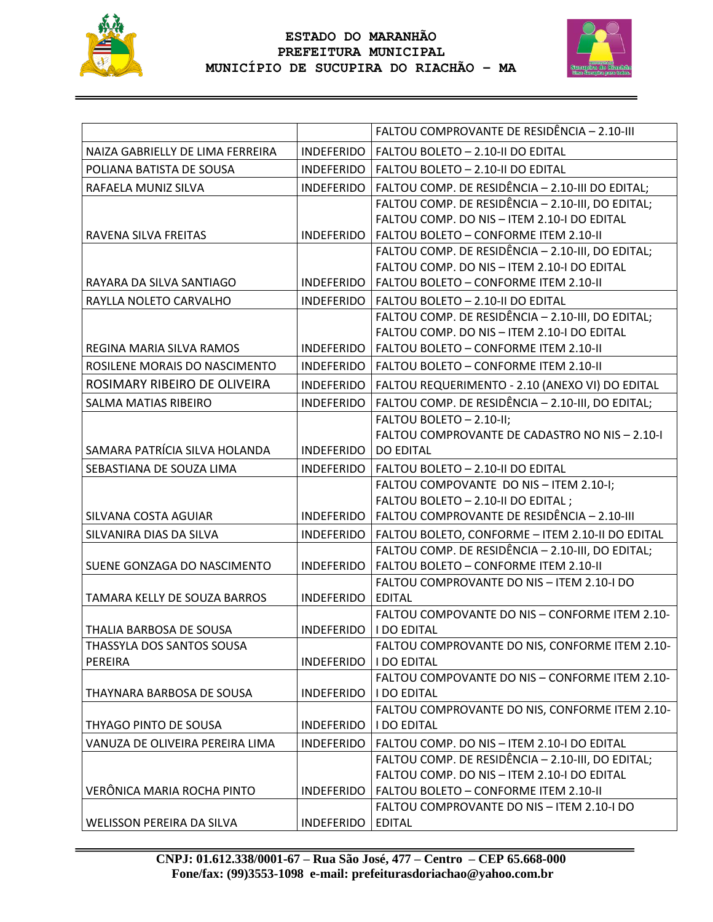



|                                  |                          | FALTOU COMPROVANTE DE RESIDÊNCIA - 2.10-III                          |
|----------------------------------|--------------------------|----------------------------------------------------------------------|
| NAIZA GABRIELLY DE LIMA FERREIRA | <b>INDEFERIDO</b>        | FALTOU BOLETO - 2.10-II DO EDITAL                                    |
| POLIANA BATISTA DE SOUSA         |                          | INDEFERIDO   FALTOU BOLETO - 2.10-II DO EDITAL                       |
| RAFAELA MUNIZ SILVA              | INDEFERIDO               | FALTOU COMP. DE RESIDÊNCIA - 2.10-III DO EDITAL;                     |
|                                  |                          | FALTOU COMP. DE RESIDÊNCIA - 2.10-III, DO EDITAL;                    |
|                                  |                          | FALTOU COMP. DO NIS - ITEM 2.10-I DO EDITAL                          |
| RAVENA SILVA FREITAS             | <b>INDEFERIDO</b>        | FALTOU BOLETO - CONFORME ITEM 2.10-II                                |
|                                  |                          | FALTOU COMP. DE RESIDÊNCIA - 2.10-III, DO EDITAL;                    |
|                                  |                          | FALTOU COMP. DO NIS - ITEM 2.10-I DO EDITAL                          |
| RAYARA DA SILVA SANTIAGO         | INDEFERIDO               | FALTOU BOLETO - CONFORME ITEM 2.10-II                                |
| RAYLLA NOLETO CARVALHO           |                          | INDEFERIDO   FALTOU BOLETO - 2.10-II DO EDITAL                       |
|                                  |                          | FALTOU COMP. DE RESIDÊNCIA - 2.10-III, DO EDITAL;                    |
|                                  |                          | FALTOU COMP. DO NIS - ITEM 2.10-I DO EDITAL                          |
| REGINA MARIA SILVA RAMOS         | <b>INDEFERIDO</b>        | FALTOU BOLETO - CONFORME ITEM 2.10-II                                |
| ROSILENE MORAIS DO NASCIMENTO    | INDEFERIDO               | FALTOU BOLETO - CONFORME ITEM 2.10-II                                |
| ROSIMARY RIBEIRO DE OLIVEIRA     | INDEFERIDO               | FALTOU REQUERIMENTO - 2.10 (ANEXO VI) DO EDITAL                      |
| <b>SALMA MATIAS RIBEIRO</b>      | <b>INDEFERIDO</b>        | FALTOU COMP. DE RESIDÊNCIA - 2.10-III, DO EDITAL;                    |
|                                  |                          | FALTOU BOLETO - 2.10-II;                                             |
|                                  |                          | FALTOU COMPROVANTE DE CADASTRO NO NIS - 2.10-I                       |
| SAMARA PATRÍCIA SILVA HOLANDA    | INDEFERIDO               | <b>DO EDITAL</b>                                                     |
| SEBASTIANA DE SOUZA LIMA         | INDEFERIDO               | FALTOU BOLETO - 2.10-II DO EDITAL                                    |
|                                  |                          | FALTOU COMPOVANTE DO NIS - ITEM 2.10-I;                              |
|                                  |                          | FALTOU BOLETO - 2.10-II DO EDITAL;                                   |
| SILVANA COSTA AGUIAR             | <b>INDEFERIDO</b>        | FALTOU COMPROVANTE DE RESIDÊNCIA - 2.10-III                          |
| SILVANIRA DIAS DA SILVA          | <b>INDEFERIDO</b>        | FALTOU BOLETO, CONFORME - ITEM 2.10-II DO EDITAL                     |
|                                  |                          | FALTOU COMP. DE RESIDÊNCIA - 2.10-III, DO EDITAL;                    |
| SUENE GONZAGA DO NASCIMENTO      | <b>INDEFERIDO</b>        | FALTOU BOLETO - CONFORME ITEM 2.10-II                                |
|                                  |                          | FALTOU COMPROVANTE DO NIS - ITEM 2.10-I DO                           |
| TAMARA KELLY DE SOUZA BARROS     | <b>INDEFERIDO</b>        | <b>EDITAL</b>                                                        |
|                                  |                          | FALTOU COMPOVANTE DO NIS - CONFORME ITEM 2.10-                       |
| THALIA BARBOSA DE SOUSA          | <b>INDEFERIDO</b>        | <b>I DO EDITAL</b>                                                   |
| THASSYLA DOS SANTOS SOUSA        |                          | FALTOU COMPROVANTE DO NIS, CONFORME ITEM 2.10-                       |
| PEREIRA                          | <b>INDEFERIDO</b>        | <b>I DO EDITAL</b>                                                   |
|                                  |                          | FALTOU COMPOVANTE DO NIS - CONFORME ITEM 2.10-                       |
| THAYNARA BARBOSA DE SOUSA        | INDEFERIDO   I DO EDITAL |                                                                      |
| THYAGO PINTO DE SOUSA            |                          | FALTOU COMPROVANTE DO NIS, CONFORME ITEM 2.10-<br><b>I DO EDITAL</b> |
|                                  | INDEFERIDO               |                                                                      |
| VANUZA DE OLIVEIRA PEREIRA LIMA  | <b>INDEFERIDO</b>        | FALTOU COMP. DO NIS - ITEM 2.10-I DO EDITAL                          |
|                                  |                          | FALTOU COMP. DE RESIDÊNCIA - 2.10-III, DO EDITAL;                    |
|                                  |                          | FALTOU COMP. DO NIS - ITEM 2.10-I DO EDITAL                          |
| VERÔNICA MARIA ROCHA PINTO       | <b>INDEFERIDO</b>        | FALTOU BOLETO - CONFORME ITEM 2.10-II                                |
|                                  |                          | FALTOU COMPROVANTE DO NIS - ITEM 2.10-I DO                           |
| WELISSON PEREIRA DA SILVA        | INDEFERIDO EDITAL        |                                                                      |